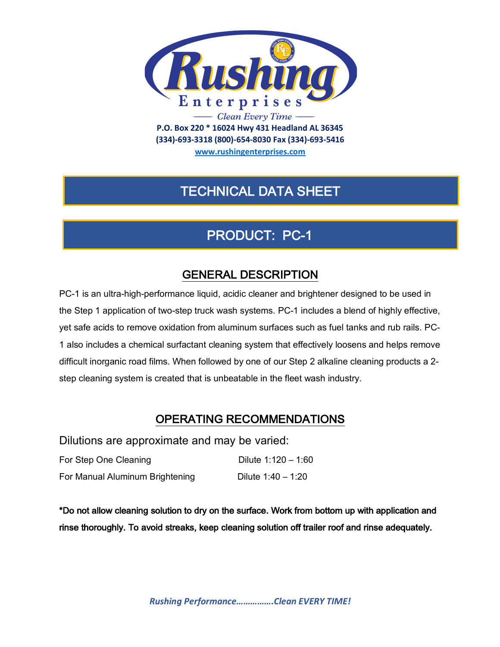

**(334)-693-3318 (800)-654-8030 Fax (334)-693-5416**

**www.rushingenterprises.com**

## TECHNICAL DATA SHEET

# PRODUCT: PC-1

### GENERAL DESCRIPTION

PC-1 is an ultra-high-performance liquid, acidic cleaner and brightener designed to be used in the Step 1 application of two-step truck wash systems. PC-1 includes a blend of highly effective, yet safe acids to remove oxidation from aluminum surfaces such as fuel tanks and rub rails. PC-1 also includes a chemical surfactant cleaning system that effectively loosens and helps remove difficult inorganic road films. When followed by one of our Step 2 alkaline cleaning products a 2 step cleaning system is created that is unbeatable in the fleet wash industry.

#### OPERATING RECOMMENDATIONS

Dilutions are approximate and may be varied:

| For Step One Cleaning           | Dilute $1:120 - 1:60$ |
|---------------------------------|-----------------------|
| For Manual Aluminum Brightening | Dilute $1:40 - 1:20$  |

\*Do not allow cleaning solution to dry on the surface. Work from bottom up with application and rinse thoroughly. To avoid streaks, keep cleaning solution off trailer roof and rinse adequately.

*Rushing Performance…………….Clean EVERY TIME!*